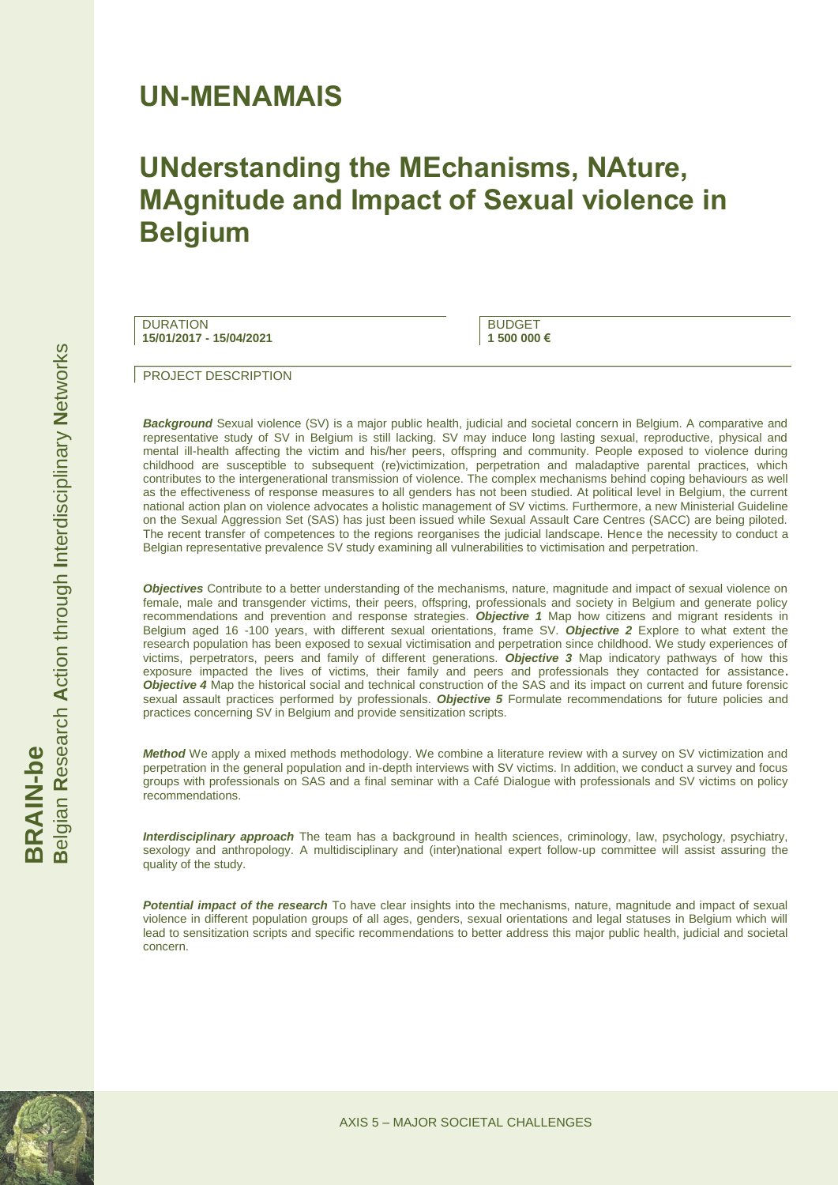### **UN-MENAMAIS**

## **UNderstanding the MEchanisms, NAture, MAgnitude and Impact of Sexual violence in Belgium**

**DURATION 15/01/2017 - 15/04/2021**

**BUDGET 1 500 000 €**

PROJECT DESCRIPTION

*Background* Sexual violence (SV) is a major public health, judicial and societal concern in Belgium. A comparative and representative study of SV in Belgium is still lacking. SV may induce long lasting sexual, reproductive, physical and mental ill-health affecting the victim and his/her peers, offspring and community. People exposed to violence during childhood are susceptible to subsequent (re)victimization, perpetration and maladaptive parental practices, which contributes to the intergenerational transmission of violence. The complex mechanisms behind coping behaviours as well as the effectiveness of response measures to all genders has not been studied. At political level in Belgium, the current national action plan on violence advocates a holistic management of SV victims. Furthermore, a new Ministerial Guideline on the Sexual Aggression Set (SAS) has just been issued while Sexual Assault Care Centres (SACC) are being piloted. The recent transfer of competences to the regions reorganises the judicial landscape. Hence the necessity to conduct a Belgian representative prevalence SV study examining all vulnerabilities to victimisation and perpetration.

*Objectives* Contribute to a better understanding of the mechanisms, nature, magnitude and impact of sexual violence on female, male and transgender victims, their peers, offspring, professionals and society in Belgium and generate policy recommendations and prevention and response strategies. *Objective 1* Map how citizens and migrant residents in Belgium aged 16 -100 years, with different sexual orientations, frame SV. *Objective 2* Explore to what extent the research population has been exposed to sexual victimisation and perpetration since childhood. We study experiences of victims, perpetrators, peers and family of different generations. *Objective 3* Map indicatory pathways of how this exposure impacted the lives of victims, their family and peers and professionals they contacted for assistance**.**  *Objective 4* Map the historical social and technical construction of the SAS and its impact on current and future forensic sexual assault practices performed by professionals. *Objective 5* Formulate recommendations for future policies and practices concerning SV in Belgium and provide sensitization scripts.

*Method* We apply a mixed methods methodology. We combine a literature review with a survey on SV victimization and perpetration in the general population and in-depth interviews with SV victims. In addition, we conduct a survey and focus groups with professionals on SAS and a final seminar with a Café Dialogue with professionals and SV victims on policy recommendations.

*Interdisciplinary approach* The team has a background in health sciences, criminology, law, psychology, psychiatry, sexology and anthropology. A multidisciplinary and (inter)national expert follow-up committee will assist assuring the quality of the study.

*Potential impact of the research* To have clear insights into the mechanisms, nature, magnitude and impact of sexual violence in different population groups of all ages, genders, sexual orientations and legal statuses in Belgium which will lead to sensitization scripts and specific recommendations to better address this major public health, judicial and societal concern.